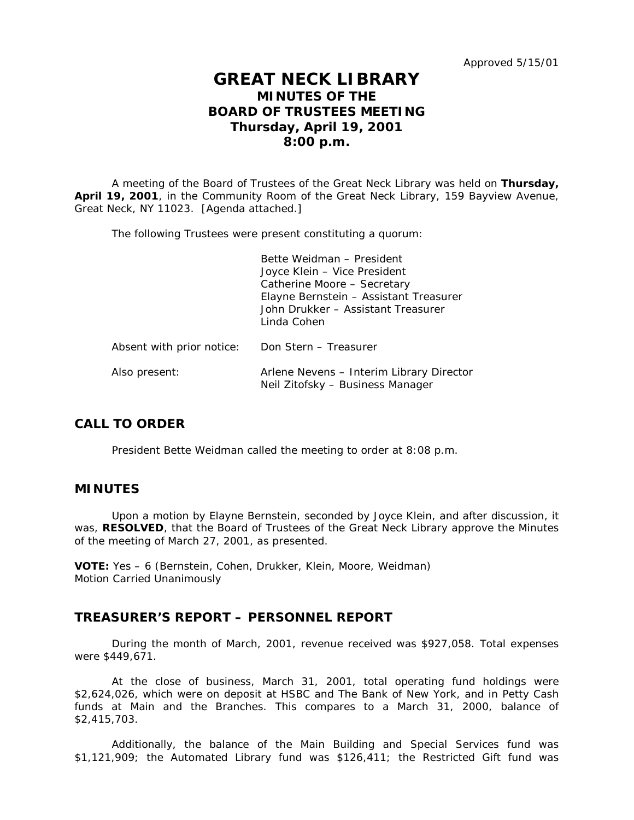# **GREAT NECK LIBRARY MINUTES OF THE BOARD OF TRUSTEES MEETING Thursday, April 19, 2001 8:00 p.m.**

A meeting of the Board of Trustees of the Great Neck Library was held on **Thursday, April 19, 2001**, in the Community Room of the Great Neck Library, 159 Bayview Avenue, Great Neck, NY 11023. [Agenda attached.]

The following Trustees were present constituting a quorum:

|                           | Bette Weidman - President<br>Joyce Klein - Vice President<br>Catherine Moore - Secretary<br>Elayne Bernstein - Assistant Treasurer<br>John Drukker - Assistant Treasurer<br>Linda Cohen |
|---------------------------|-----------------------------------------------------------------------------------------------------------------------------------------------------------------------------------------|
| Absent with prior notice: | Don Stern - Treasurer                                                                                                                                                                   |
| Also present:             | Arlene Nevens - Interim Library Director<br>Neil Zitofsky - Business Manager                                                                                                            |

# **CALL TO ORDER**

President Bette Weidman called the meeting to order at 8:08 p.m.

### **MINUTES**

Upon a motion by Elayne Bernstein, seconded by Joyce Klein, and after discussion, it was, **RESOLVED**, that the Board of Trustees of the Great Neck Library approve the Minutes of the meeting of March 27, 2001, as presented.

**VOTE:** Yes – 6 (Bernstein, Cohen, Drukker, Klein, Moore, Weidman) *Motion Carried Unanimously*

# **TREASURER'S REPORT – PERSONNEL REPORT**

During the month of March, 2001, revenue received was \$927,058. Total expenses were \$449,671.

At the close of business, March 31, 2001, total operating fund holdings were \$2,624,026, which were on deposit at HSBC and The Bank of New York, and in Petty Cash funds at Main and the Branches. This compares to a March 31, 2000, balance of \$2,415,703.

Additionally, the balance of the Main Building and Special Services fund was \$1,121,909; the Automated Library fund was \$126,411; the Restricted Gift fund was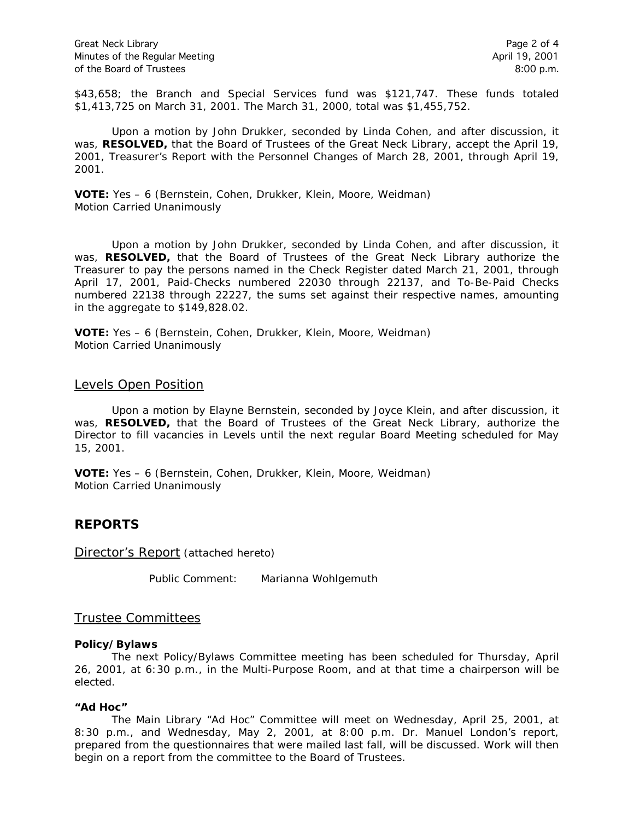Great Neck Library **Page 2 of 4** Minutes of the Regular Meeting April 19, 2001 of the Board of Trustees 8:00 p.m.

\$43,658; the Branch and Special Services fund was \$121,747. These funds totaled \$1,413,725 on March 31, 2001. The March 31, 2000, total was \$1,455,752.

Upon a motion by John Drukker, seconded by Linda Cohen, and after discussion, it was, **RESOLVED,** that the Board of Trustees of the Great Neck Library, accept the April 19, 2001, Treasurer's Report with the Personnel Changes of March 28, 2001, through April 19, 2001.

**VOTE:** Yes – 6 (Bernstein, Cohen, Drukker, Klein, Moore, Weidman) *Motion Carried Unanimously*

Upon a motion by John Drukker, seconded by Linda Cohen, and after discussion, it was, **RESOLVED,** that the Board of Trustees of the Great Neck Library authorize the Treasurer to pay the persons named in the Check Register dated March 21, 2001, through April 17, 2001, Paid-Checks numbered 22030 through 22137, and To-Be-Paid Checks numbered 22138 through 22227, the sums set against their respective names, amounting in the aggregate to \$149,828.02.

**VOTE:** Yes – 6 (Bernstein, Cohen, Drukker, Klein, Moore, Weidman) *Motion Carried Unanimously*

#### Levels Open Position

Upon a motion by Elayne Bernstein, seconded by Joyce Klein, and after discussion, it was, **RESOLVED,** that the Board of Trustees of the Great Neck Library, authorize the Director to fill vacancies in Levels until the next regular Board Meeting scheduled for May 15, 2001.

**VOTE:** Yes – 6 (Bernstein, Cohen, Drukker, Klein, Moore, Weidman) *Motion Carried Unanimously*

# **REPORTS**

Director's Report (attached hereto)

Public Comment: Marianna Wohlgemuth

### Trustee Committees

#### **Policy/Bylaws**

The next Policy/Bylaws Committee meeting has been scheduled for Thursday, April 26, 2001, at 6:30 p.m., in the Multi-Purpose Room, and at that time a chairperson will be elected.

#### **"Ad Hoc"**

The Main Library "Ad Hoc" Committee will meet on Wednesday, April 25, 2001, at 8:30 p.m., and Wednesday, May 2, 2001, at 8:00 p.m. Dr. Manuel London's report, prepared from the questionnaires that were mailed last fall, will be discussed. Work will then begin on a report from the committee to the Board of Trustees.